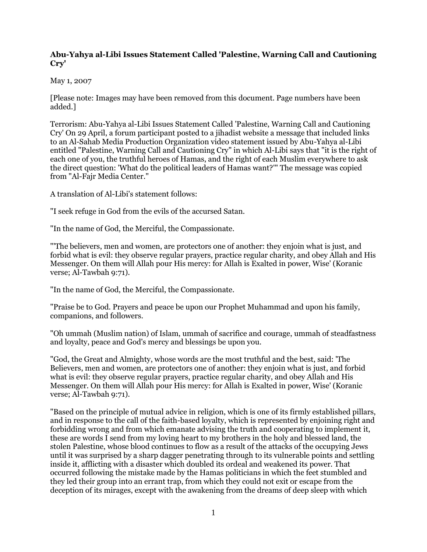## **Abu-Yahya al-Libi Issues Statement Called 'Palestine, Warning Call and Cautioning Cry'**

## May 1, 2007

[Please note: Images may have been removed from this document. Page numbers have been added.]

Terrorism: Abu-Yahya al-Libi Issues Statement Called 'Palestine, Warning Call and Cautioning Cry' On 29 April, a forum participant posted to a jihadist website a message that included links to an Al-Sahab Media Production Organization video statement issued by Abu-Yahya al-Libi entitled "Palestine, Warning Call and Cautioning Cry" in which Al-Libi says that "it is the right of each one of you, the truthful heroes of Hamas, and the right of each Muslim everywhere to ask the direct question: 'What do the political leaders of Hamas want?'" The message was copied from "Al-Fajr Media Center."

A translation of Al-Libi's statement follows:

"I seek refuge in God from the evils of the accursed Satan.

"In the name of God, the Merciful, the Compassionate.

"'The believers, men and women, are protectors one of another: they enjoin what is just, and forbid what is evil: they observe regular prayers, practice regular charity, and obey Allah and His Messenger. On them will Allah pour His mercy: for Allah is Exalted in power, Wise' (Koranic verse; Al-Tawbah 9:71).

"In the name of God, the Merciful, the Compassionate.

"Praise be to God. Prayers and peace be upon our Prophet Muhammad and upon his family, companions, and followers.

"Oh ummah (Muslim nation) of Islam, ummah of sacrifice and courage, ummah of steadfastness and loyalty, peace and God's mercy and blessings be upon you.

"God, the Great and Almighty, whose words are the most truthful and the best, said: 'The Believers, men and women, are protectors one of another: they enjoin what is just, and forbid what is evil: they observe regular prayers, practice regular charity, and obey Allah and His Messenger. On them will Allah pour His mercy: for Allah is Exalted in power, Wise' (Koranic verse; Al-Tawbah 9:71).

"Based on the principle of mutual advice in religion, which is one of its firmly established pillars, and in response to the call of the faith-based loyalty, which is represented by enjoining right and forbidding wrong and from which emanate advising the truth and cooperating to implement it, these are words I send from my loving heart to my brothers in the holy and blessed land, the stolen Palestine, whose blood continues to flow as a result of the attacks of the occupying Jews until it was surprised by a sharp dagger penetrating through to its vulnerable points and settling inside it, afflicting with a disaster which doubled its ordeal and weakened its power. That occurred following the mistake made by the Hamas politicians in which the feet stumbled and they led their group into an errant trap, from which they could not exit or escape from the deception of its mirages, except with the awakening from the dreams of deep sleep with which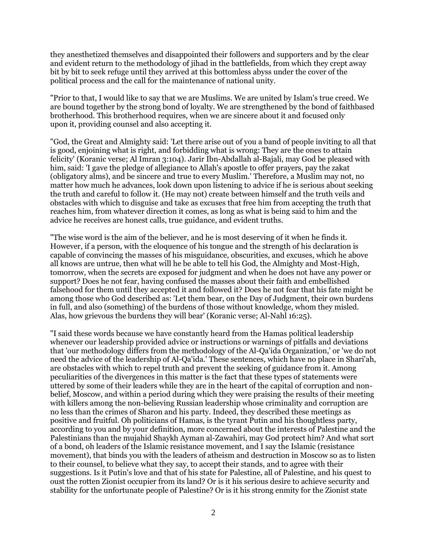they anesthetized themselves and disappointed their followers and supporters and by the clear and evident return to the methodology of jihad in the battlefields, from which they crept away bit by bit to seek refuge until they arrived at this bottomless abyss under the cover of the political process and the call for the maintenance of national unity.

"Prior to that, I would like to say that we are Muslims. We are united by Islam's true creed. We are bound together by the strong bond of loyalty. We are strengthened by the bond of faithbased brotherhood. This brotherhood requires, when we are sincere about it and focused only upon it, providing counsel and also accepting it.

"God, the Great and Almighty said: 'Let there arise out of you a band of people inviting to all that is good, enjoining what is right, and forbidding what is wrong: They are the ones to attain felicity' (Koranic verse; Al Imran 3:104). Jarir Ibn-Abdallah al-Bajali, may God be pleased with him, said: 'I gave the pledge of allegiance to Allah's apostle to offer prayers, pay the zakat (obligatory alms), and be sincere and true to every Muslim.' Therefore, a Muslim may not, no matter how much he advances, look down upon listening to advice if he is serious about seeking the truth and careful to follow it. (He may not) create between himself and the truth veils and obstacles with which to disguise and take as excuses that free him from accepting the truth that reaches him, from whatever direction it comes, as long as what is being said to him and the advice he receives are honest calls, true guidance, and evident truths.

"The wise word is the aim of the believer, and he is most deserving of it when he finds it. However, if a person, with the eloquence of his tongue and the strength of his declaration is capable of convincing the masses of his misguidance, obscurities, and excuses, which he above all knows are untrue, then what will he be able to tell his God, the Almighty and Most-High, tomorrow, when the secrets are exposed for judgment and when he does not have any power or support? Does he not fear, having confused the masses about their faith and embellished falsehood for them until they accepted it and followed it? Does he not fear that his fate might be among those who God described as: 'Let them bear, on the Day of Judgment, their own burdens in full, and also (something) of the burdens of those without knowledge, whom they misled. Alas, how grievous the burdens they will bear' (Koranic verse; Al-Nahl 16:25).

"I said these words because we have constantly heard from the Hamas political leadership whenever our leadership provided advice or instructions or warnings of pitfalls and deviations that 'our methodology differs from the methodology of the Al-Qa'ida Organization,' or 'we do not need the advice of the leadership of Al-Qa'ida.' These sentences, which have no place in Shari'ah, are obstacles with which to repel truth and prevent the seeking of guidance from it. Among peculiarities of the divergences in this matter is the fact that these types of statements were uttered by some of their leaders while they are in the heart of the capital of corruption and nonbelief, Moscow, and within a period during which they were praising the results of their meeting with killers among the non-believing Russian leadership whose criminality and corruption are no less than the crimes of Sharon and his party. Indeed, they described these meetings as positive and fruitful. Oh politicians of Hamas, is the tyrant Putin and his thoughtless party, according to you and by your definition, more concerned about the interests of Palestine and the Palestinians than the mujahid Shaykh Ayman al-Zawahiri, may God protect him? And what sort of a bond, oh leaders of the Islamic resistance movement, and I say the Islamic (resistance movement), that binds you with the leaders of atheism and destruction in Moscow so as to listen to their counsel, to believe what they say, to accept their stands, and to agree with their suggestions. Is it Putin's love and that of his state for Palestine, all of Palestine, and his quest to oust the rotten Zionist occupier from its land? Or is it his serious desire to achieve security and stability for the unfortunate people of Palestine? Or is it his strong enmity for the Zionist state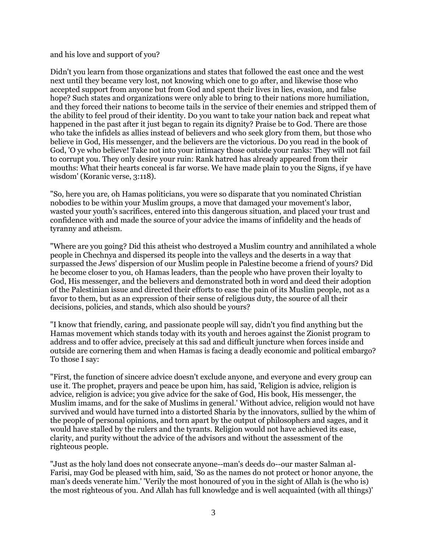## and his love and support of you?

Didn't you learn from those organizations and states that followed the east once and the west next until they became very lost, not knowing which one to go after, and likewise those who accepted support from anyone but from God and spent their lives in lies, evasion, and false hope? Such states and organizations were only able to bring to their nations more humiliation, and they forced their nations to become tails in the service of their enemies and stripped them of the ability to feel proud of their identity. Do you want to take your nation back and repeat what happened in the past after it just began to regain its dignity? Praise be to God. There are those who take the infidels as allies instead of believers and who seek glory from them, but those who believe in God, His messenger, and the believers are the victorious. Do you read in the book of God, 'O ye who believe! Take not into your intimacy those outside your ranks: They will not fail to corrupt you. They only desire your ruin: Rank hatred has already appeared from their mouths: What their hearts conceal is far worse. We have made plain to you the Signs, if ye have wisdom' (Koranic verse, 3:118).

"So, here you are, oh Hamas politicians, you were so disparate that you nominated Christian nobodies to be within your Muslim groups, a move that damaged your movement's labor, wasted your youth's sacrifices, entered into this dangerous situation, and placed your trust and confidence with and made the source of your advice the imams of infidelity and the heads of tyranny and atheism.

"Where are you going? Did this atheist who destroyed a Muslim country and annihilated a whole people in Chechnya and dispersed its people into the valleys and the deserts in a way that surpassed the Jews' dispersion of our Muslim people in Palestine become a friend of yours? Did he become closer to you, oh Hamas leaders, than the people who have proven their loyalty to God, His messenger, and the believers and demonstrated both in word and deed their adoption of the Palestinian issue and directed their efforts to ease the pain of its Muslim people, not as a favor to them, but as an expression of their sense of religious duty, the source of all their decisions, policies, and stands, which also should be yours?

"I know that friendly, caring, and passionate people will say, didn't you find anything but the Hamas movement which stands today with its youth and heroes against the Zionist program to address and to offer advice, precisely at this sad and difficult juncture when forces inside and outside are cornering them and when Hamas is facing a deadly economic and political embargo? To those I say:

"First, the function of sincere advice doesn't exclude anyone, and everyone and every group can use it. The prophet, prayers and peace be upon him, has said, 'Religion is advice, religion is advice, religion is advice; you give advice for the sake of God, His book, His messenger, the Muslim imams, and for the sake of Muslims in general.' Without advice, religion would not have survived and would have turned into a distorted Sharia by the innovators, sullied by the whim of the people of personal opinions, and torn apart by the output of philosophers and sages, and it would have stalled by the rulers and the tyrants. Religion would not have achieved its ease, clarity, and purity without the advice of the advisors and without the assessment of the righteous people.

"Just as the holy land does not consecrate anyone--man's deeds do--our master Salman al-Farisi, may God be pleased with him, said, 'So as the names do not protect or honor anyone, the man's deeds venerate him.' 'Verily the most honoured of you in the sight of Allah is (he who is) the most righteous of you. And Allah has full knowledge and is well acquainted (with all things)'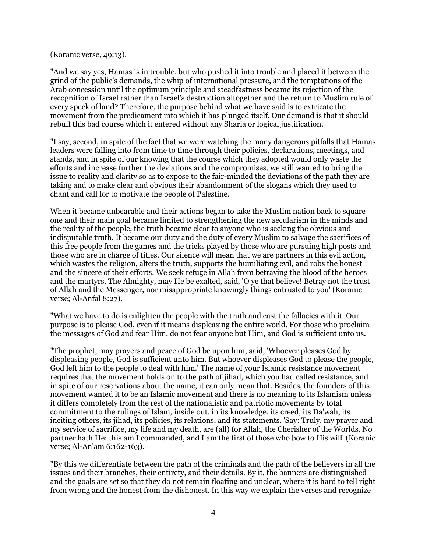(Koranic verse, 49:13).

"And we say yes, Hamas is in trouble, but who pushed it into trouble and placed it between the grind of the public's demands, the whip of international pressure, and the temptations of the Arab concession until the optimum principle and steadfastness became its rejection of the recognition of Israel rather than Israel's destruction altogether and the return to Muslim rule of every speck of land? Therefore, the purpose behind what we have said is to extricate the movement from the predicament into which it has plunged itself. Our demand is that it should rebuff this bad course which it entered without any Sharia or logical justification.

"I say, second, in spite of the fact that we were watching the many dangerous pitfalls that Hamas leaders were falling into from time to time through their policies, declarations, meetings, and stands, and in spite of our knowing that the course which they adopted would only waste the efforts and increase further the deviations and the compromises, we still wanted to bring the issue to reality and clarity so as to expose to the fair-minded the deviations of the path they are taking and to make clear and obvious their abandonment of the slogans which they used to chant and call for to motivate the people of Palestine.

When it became unbearable and their actions began to take the Muslim nation back to square one and their main goal became limited to strengthening the new secularism in the minds and the reality of the people, the truth became clear to anyone who is seeking the obvious and indisputable truth. It became our duty and the duty of every Muslim to salvage the sacrifices of this free people from the games and the tricks played by those who are pursuing high posts and those who are in charge of titles. Our silence will mean that we are partners in this evil action, which wastes the religion, alters the truth, supports the humiliating evil, and robs the honest and the sincere of their efforts. We seek refuge in Allah from betraying the blood of the heroes and the martyrs. The Almighty, may He be exalted, said, 'O ye that believe! Betray not the trust of Allah and the Messenger, nor misappropriate knowingly things entrusted to you' (Koranic verse; Al-Anfal 8:27).

"What we have to do is enlighten the people with the truth and cast the fallacies with it. Our purpose is to please God, even if it means displeasing the entire world. For those who proclaim the messages of God and fear Him, do not fear anyone but Him, and God is sufficient unto us.

"The prophet, may prayers and peace of God be upon him, said, 'Whoever pleases God by displeasing people, God is sufficient unto him. But whoever displeases God to please the people, God left him to the people to deal with him.' The name of your Islamic resistance movement requires that the movement holds on to the path of jihad, which you had called resistance, and in spite of our reservations about the name, it can only mean that. Besides, the founders of this movement wanted it to be an Islamic movement and there is no meaning to its Islamism unless it differs completely from the rest of the nationalistic and patriotic movements by total commitment to the rulings of Islam, inside out, in its knowledge, its creed, its Da'wah, its inciting others, its jihad, its policies, its relations, and its statements. 'Say: Truly, my prayer and my service of sacrifice, my life and my death, are (all) for Allah, the Cherisher of the Worlds. No partner hath He: this am I commanded, and I am the first of those who bow to His will' (Koranic verse; Al-An'am 6:162-163).

"By this we differentiate between the path of the criminals and the path of the believers in all the issues and their branches, their entirety, and their details. By it, the banners are distinguished and the goals are set so that they do not remain floating and unclear, where it is hard to tell right from wrong and the honest from the dishonest. In this way we explain the verses and recognize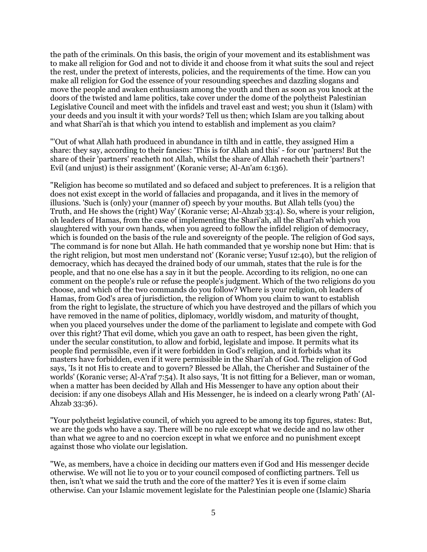the path of the criminals. On this basis, the origin of your movement and its establishment was to make all religion for God and not to divide it and choose from it what suits the soul and reject the rest, under the pretext of interests, policies, and the requirements of the time. How can you make all religion for God the essence of your resounding speeches and dazzling slogans and move the people and awaken enthusiasm among the youth and then as soon as you knock at the doors of the twisted and lame politics, take cover under the dome of the polytheist Palestinian Legislative Council and meet with the infidels and travel east and west; you shun it (Islam) with your deeds and you insult it with your words? Tell us then; which Islam are you talking about and what Shari'ah is that which you intend to establish and implement as you claim?

"'Out of what Allah hath produced in abundance in tilth and in cattle, they assigned Him a share: they say, according to their fancies: 'This is for Allah and this' - for our 'partners! But the share of their 'partners' reacheth not Allah, whilst the share of Allah reacheth their 'partners'! Evil (and unjust) is their assignment' (Koranic verse; Al-An'am 6:136).

"Religion has become so mutilated and so defaced and subject to preferences. It is a religion that does not exist except in the world of fallacies and propaganda, and it lives in the memory of illusions. 'Such is (only) your (manner of) speech by your mouths. But Allah tells (you) the Truth, and He shows the (right) Way' (Koranic verse; Al-Ahzab 33:4). So, where is your religion, oh leaders of Hamas, from the case of implementing the Shari'ah, all the Shari'ah which you slaughtered with your own hands, when you agreed to follow the infidel religion of democracy, which is founded on the basis of the rule and sovereignty of the people. The religion of God says, 'The command is for none but Allah. He hath commanded that ye worship none but Him: that is the right religion, but most men understand not' (Koranic verse; Yusuf 12:40), but the religion of democracy, which has decayed the drained body of our ummah, states that the rule is for the people, and that no one else has a say in it but the people. According to its religion, no one can comment on the people's rule or refuse the people's judgment. Which of the two religions do you choose, and which of the two commands do you follow? Where is your religion, oh leaders of Hamas, from God's area of jurisdiction, the religion of Whom you claim to want to establish from the right to legislate, the structure of which you have destroyed and the pillars of which you have removed in the name of politics, diplomacy, worldly wisdom, and maturity of thought, when you placed yourselves under the dome of the parliament to legislate and compete with God over this right? That evil dome, which you gave an oath to respect, has been given the right, under the secular constitution, to allow and forbid, legislate and impose. It permits what its people find permissible, even if it were forbidden in God's religion, and it forbids what its masters have forbidden, even if it were permissible in the Shari'ah of God. The religion of God says, 'Is it not His to create and to govern? Blessed be Allah, the Cherisher and Sustainer of the worlds' (Koranic verse; Al-A'raf 7:54). It also says, 'It is not fitting for a Believer, man or woman, when a matter has been decided by Allah and His Messenger to have any option about their decision: if any one disobeys Allah and His Messenger, he is indeed on a clearly wrong Path' (Al-Ahzab 33:36).

"Your polytheist legislative council, of which you agreed to be among its top figures, states: But, we are the gods who have a say. There will be no rule except what we decide and no law other than what we agree to and no coercion except in what we enforce and no punishment except against those who violate our legislation.

"We, as members, have a choice in deciding our matters even if God and His messenger decide otherwise. We will not lie to you or to your council composed of conflicting partners. Tell us then, isn't what we said the truth and the core of the matter? Yes it is even if some claim otherwise. Can your Islamic movement legislate for the Palestinian people one (Islamic) Sharia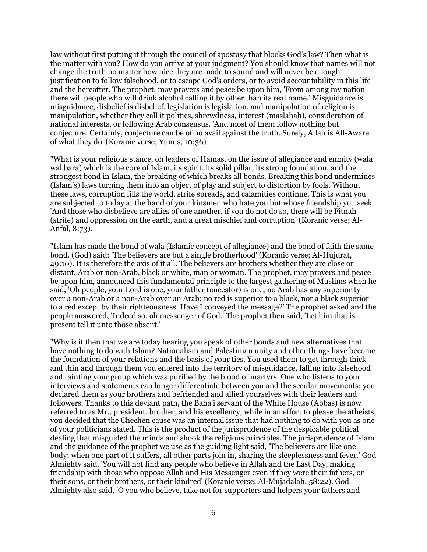law without first putting it through the council of apostasy that blocks God's law? Then what is the matter with you? How do you arrive at your judgment? You should know that names will not change the truth no matter how nice they are made to sound and will never be enough justification to follow falsehood, or to escape God's orders, or to avoid accountability in this life and the hereafter. The prophet, may prayers and peace be upon him, 'From among my nation there will people who will drink alcohol calling it by other than its real name.' Misguidance is misguidance, disbelief is disbelief, legislation is legislation, and manipulation of religion is manipulation, whether they call it politics, shrewdness, interest (maslahah), consideration of national interests, or following Arab consensus. 'And most of them follow nothing but conjecture. Certainly, conjecture can be of no avail against the truth. Surely, Allah is All-Aware of what they do' (Koranic verse; Yunus, 10:36)

"What is your religious stance, oh leaders of Hamas, on the issue of allegiance and enmity (wala wal bara) which is the core of Islam, its spirit, its solid pillar, its strong foundation, and the strongest bond in Islam, the breaking of which breaks all bonds. Breaking this bond undermines (Islam's) laws turning them into an object of play and subject to distortion by fools. Without these laws, corruption fills the world, strife spreads, and calamities continue. This is what you are subjected to today at the hand of your kinsmen who hate you but whose friendship you seek. 'And those who disbelieve are allies of one another, if you do not do so, there will be Fitnah (strife) and oppression on the earth, and a great mischief and corruption' (Koranic verse; Al-Anfal, 8:73).

"Islam has made the bond of wala (Islamic concept of allegiance) and the bond of faith the same bond. (God) said: 'The believers are but a single brotherhood' (Koranic verse; Al-Hujurat, 49:10). It is therefore the axis of it all. The believers are brothers whether they are close or distant, Arab or non-Arab, black or white, man or woman. The prophet, may prayers and peace be upon him, announced this fundamental principle to the largest gathering of Muslims when he said, 'Oh people, your Lord is one, your father (ancestor) is one; no Arab has any superiority over a non-Arab or a non-Arab over an Arab; no red is superior to a black, nor a black superior to a red except by their righteousness. Have I conveyed the message?' The prophet asked and the people answered, 'Indeed so, oh messenger of God.' The prophet then said, 'Let him that is present tell it unto those absent.'

"Why is it then that we are today hearing you speak of other bonds and new alternatives that have nothing to do with Islam? Nationalism and Palestinian unity and other things have become the foundation of your relations and the basis of your ties. You used them to get through thick and thin and through them you entered into the territory of misguidance, falling into falsehood and tainting your group which was purified by the blood of martyrs. One who listens to your interviews and statements can longer differentiate between you and the secular movements; you declared them as your brothers and befriended and allied yourselves with their leaders and followers. Thanks to this deviant path, the Baha'i servant of the White House (Abbas) is now referred to as Mr., president, brother, and his excellency, while in an effort to please the atheists, you decided that the Chechen cause was an internal issue that had nothing to do with you as one of your politicians stated. This is the product of the jurisprudence of the despicable political dealing that misguided the minds and shook the religious principles. The jurisprudence of Islam and the guidance of the prophet we use as the guiding light said, 'The believers are like one body; when one part of it suffers, all other parts join in, sharing the sleeplessness and fever.' God Almighty said, 'You will not find any people who believe in Allah and the Last Day, making friendship with those who oppose Allah and His Messenger even if they were their fathers, or their sons, or their brothers, or their kindred' (Koranic verse; Al-Mujadalah, 58:22). God Almighty also said, 'O you who believe, take not for supporters and helpers your fathers and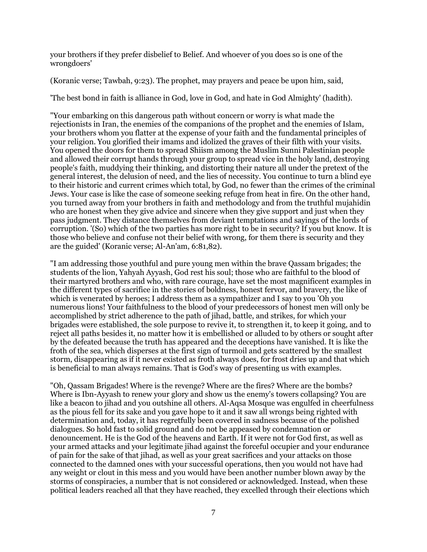your brothers if they prefer disbelief to Belief. And whoever of you does so is one of the wrongdoers'

(Koranic verse; Tawbah, 9:23). The prophet, may prayers and peace be upon him, said,

'The best bond in faith is alliance in God, love in God, and hate in God Almighty' (hadith).

"Your embarking on this dangerous path without concern or worry is what made the rejectionists in Iran, the enemies of the companions of the prophet and the enemies of Islam, your brothers whom you flatter at the expense of your faith and the fundamental principles of your religion. You glorified their imams and idolized the graves of their filth with your visits. You opened the doors for them to spread Shiism among the Muslim Sunni Palestinian people and allowed their corrupt hands through your group to spread vice in the holy land, destroying people's faith, muddying their thinking, and distorting their nature all under the pretext of the general interest, the delusion of need, and the lies of necessity. You continue to turn a blind eye to their historic and current crimes which total, by God, no fewer than the crimes of the criminal Jews. Your case is like the case of someone seeking refuge from heat in fire. On the other hand, you turned away from your brothers in faith and methodology and from the truthful mujahidin who are honest when they give advice and sincere when they give support and just when they pass judgment. They distance themselves from deviant temptations and sayings of the lords of corruption. '(So) which of the two parties has more right to be in security? If you but know. It is those who believe and confuse not their belief with wrong, for them there is security and they are the guided' (Koranic verse; Al-An'am, 6:81,82).

"I am addressing those youthful and pure young men within the brave Qassam brigades; the students of the lion, Yahyah Ayyash, God rest his soul; those who are faithful to the blood of their martyred brothers and who, with rare courage, have set the most magnificent examples in the different types of sacrifice in the stories of boldness, honest fervor, and bravery, the like of which is venerated by heroes; I address them as a sympathizer and I say to you 'Oh you numerous lions! Your faithfulness to the blood of your predecessors of honest men will only be accomplished by strict adherence to the path of jihad, battle, and strikes, for which your brigades were established, the sole purpose to revive it, to strengthen it, to keep it going, and to reject all paths besides it, no matter how it is embellished or alluded to by others or sought after by the defeated because the truth has appeared and the deceptions have vanished. It is like the froth of the sea, which disperses at the first sign of turmoil and gets scattered by the smallest storm, disappearing as if it never existed as froth always does, for frost dries up and that which is beneficial to man always remains. That is God's way of presenting us with examples.

"Oh, Qassam Brigades! Where is the revenge? Where are the fires? Where are the bombs? Where is Ibn-Ayyash to renew your glory and show us the enemy's towers collapsing? You are like a beacon to jihad and you outshine all others. Al-Aqsa Mosque was engulfed in cheerfulness as the pious fell for its sake and you gave hope to it and it saw all wrongs being righted with determination and, today, it has regretfully been covered in sadness because of the polished dialogues. So hold fast to solid ground and do not be appeased by condemnation or denouncement. He is the God of the heavens and Earth. If it were not for God first, as well as your armed attacks and your legitimate jihad against the forceful occupier and your endurance of pain for the sake of that jihad, as well as your great sacrifices and your attacks on those connected to the damned ones with your successful operations, then you would not have had any weight or clout in this mess and you would have been another number blown away by the storms of conspiracies, a number that is not considered or acknowledged. Instead, when these political leaders reached all that they have reached, they excelled through their elections which